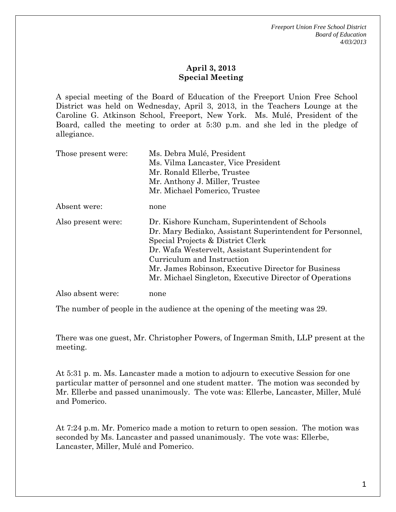## **April 3, 2013 Special Meeting**

A special meeting of the Board of Education of the Freeport Union Free School District was held on Wednesday, April 3, 2013, in the Teachers Lounge at the Caroline G. Atkinson School, Freeport, New York. Ms. Mulé, President of the Board, called the meeting to order at 5:30 p.m. and she led in the pledge of allegiance.

| Those present were: | Ms. Debra Mulé, President                                 |
|---------------------|-----------------------------------------------------------|
|                     | Ms. Vilma Lancaster, Vice President                       |
|                     | Mr. Ronald Ellerbe, Trustee                               |
|                     | Mr. Anthony J. Miller, Trustee                            |
|                     | Mr. Michael Pomerico, Trustee                             |
| Absent were:        | none                                                      |
| Also present were:  | Dr. Kishore Kuncham, Superintendent of Schools            |
|                     | Dr. Mary Bediako, Assistant Superintendent for Personnel, |
|                     | Special Projects & District Clerk                         |
|                     | Dr. Wafa Westervelt, Assistant Superintendent for         |
|                     | Curriculum and Instruction                                |
|                     | Mr. James Robinson, Executive Director for Business       |
|                     | Mr. Michael Singleton, Executive Director of Operations   |
| Also absent were:   | none                                                      |

The number of people in the audience at the opening of the meeting was 29.

There was one guest, Mr. Christopher Powers, of Ingerman Smith, LLP present at the meeting.

At 5:31 p. m. Ms. Lancaster made a motion to adjourn to executive Session for one particular matter of personnel and one student matter. The motion was seconded by Mr. Ellerbe and passed unanimously. The vote was: Ellerbe, Lancaster, Miller, Mulé and Pomerico.

At 7:24 p.m. Mr. Pomerico made a motion to return to open session. The motion was seconded by Ms. Lancaster and passed unanimously. The vote was: Ellerbe, Lancaster, Miller, Mulé and Pomerico.